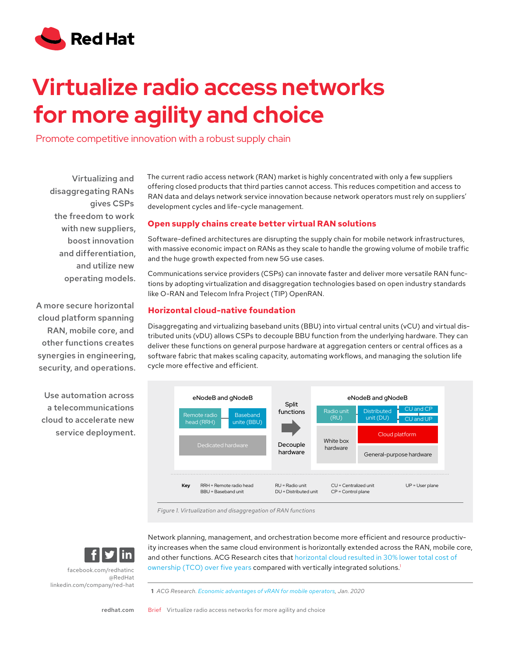

# **Virtualize radio access networks for more agility and choice**

Promote competitive innovation with a robust supply chain

Virtualizing and disaggregating RANs gives CSPs the freedom to work with new suppliers, boost innovation and differentiation, and utilize new operating models.

A more secure horizontal cloud platform spanning RAN, mobile core, and other functions creates synergies in engineering, security, and operations.

Use automation across a telecommunications cloud to accelerate new service deployment. The current radio access network (RAN) market is highly concentrated with only a few suppliers offering closed products that third parties cannot access. This reduces competition and access to RAN data and delays network service innovation because network operators must rely on suppliers' development cycles and life-cycle management.

### **Open supply chains create better virtual RAN solutions**

Software-defined architectures are disrupting the supply chain for mobile network infrastructures, with massive economic impact on RANs as they scale to handle the growing volume of mobile traffic and the huge growth expected from new 5G use cases.

Communications service providers (CSPs) can innovate faster and deliver more versatile RAN functions by adopting virtualization and disaggregation technologies based on open industry standards like O-RAN and Telecom Infra Project (TIP) OpenRAN.

#### **Horizontal cloud-native foundation**

Disaggregating and virtualizing baseband units (BBU) into virtual central units (vCU) and virtual distributed units (vDU) allows CSPs to decouple BBU function from the underlying hardware. They can deliver these functions on general purpose hardware at aggregation centers or central offices as a software fabric that makes scaling capacity, automating workflows, and managing the solution life cycle more effective and efficient.



*Figure 1. Virtualization and disaggregation of RAN functions*



[facebook.com/redhatinc](http://facebook.com/redhatinc

) [@RedHat](https://twitter.com/redhatnews) [linkedin.com/company/red-hat](http://linkedin.com/company/red-hat
) Network planning, management, and orchestration become more efficient and resource productivity increases when the same cloud environment is horizontally extended across the RAN, mobile core, and other functions. ACG Research cites that [horizontal cloud resulted in 30% lower total cost of](https://www.redhat.com/en/resources/acg-research-economic-advantages-virtualized-ran-mobile-operators)  [ownership \(TCO\) over five years](https://www.redhat.com/en/resources/acg-research-economic-advantages-virtualized-ran-mobile-operators) compared with vertically integrated solutions.1

**1** *ACG Research. [Economic advantages of vRAN for mobile operators](https://www.redhat.com/en/resources/acg-research-economic-advantages-virtualized-ran-mobile-operators), Jan. 2020*

[redhat.com](http://redhat.com) 

Brief Virtualize radio access networks for more agility and choice